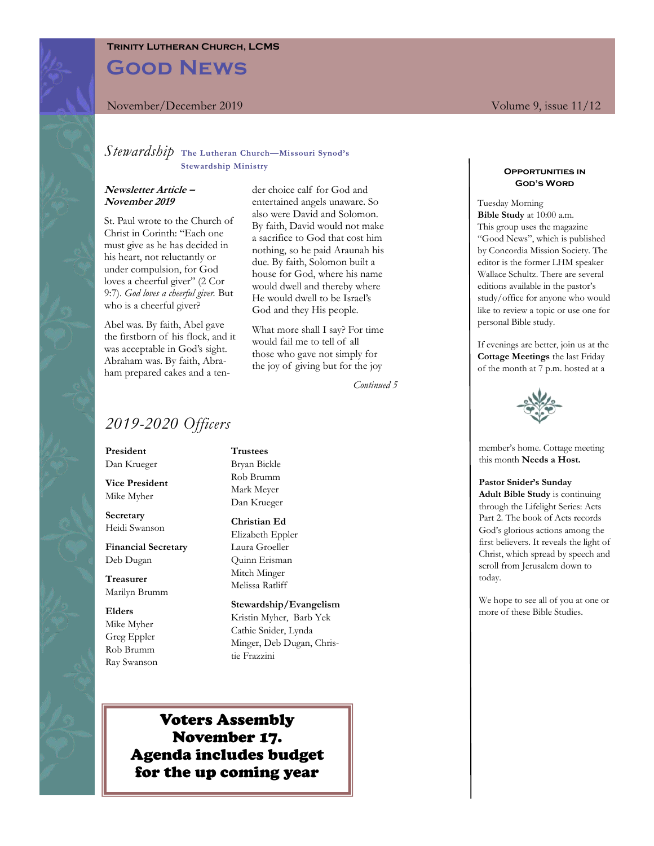## **Trinity Lutheran Church, LCMS**

**Good News**

### November/December 2019 Volume 9, issue 11/12

## *Stewardship* **The Lutheran Church—Missouri Synod's Stewardship Ministry**

#### **Newsletter Article – November 2019**

St. Paul wrote to the Church of Christ in Corinth: "Each one must give as he has decided in his heart, not reluctantly or under compulsion, for God loves a cheerful giver" (2 Cor 9:7). *God loves a cheerful giver.* But who is a cheerful giver?

Abel was. By faith, Abel gave the firstborn of his flock, and it was acceptable in God's sight. Abraham was. By faith, Abraham prepared cakes and a ten-

der choice calf for God and entertained angels unaware. So also were David and Solomon. By faith, David would not make a sacrifice to God that cost him nothing, so he paid Araunah his due. By faith, Solomon built a house for God, where his name would dwell and thereby where He would dwell to be Israel's God and they His people.

What more shall I say? For time would fail me to tell of all those who gave not simply for the joy of giving but for the joy

*Continued 5*

## *2019-2020 Officers*

**President** Dan Krueger

**Vice President** Mike Myher

**Secretary** Heidi Swanson

**Financial Secretary** Deb Dugan

**Treasurer** Marilyn Brumm

**Elders** Mike Myher Greg Eppler Rob Brumm Ray Swanson

#### **Trustees**

Bryan Bickle Rob Brumm Mark Meyer Dan Krueger

#### **Christian Ed**

Elizabeth Eppler Laura Groeller Quinn Erisman Mitch Minger Melissa Ratliff

**Stewardship/Evangelism** Kristin Myher, Barb Yek Cathie Snider, Lynda Minger, Deb Dugan, Christie Frazzini

## Voters Assembly November 17. Agenda includes budget for the up coming year

#### **Opportunities in God's Word**

Tuesday Morning **Bible Study** at 10:00 a.m. This group uses the magazine "Good News", which is published by Concordia Mission Society. The editor is the former LHM speaker Wallace Schultz. There are several editions available in the pastor's study/office for anyone who would like to review a topic or use one for personal Bible study.

If evenings are better, join us at the **Cottage Meetings** the last Friday of the month at 7 p.m. hosted at a



member's home. Cottage meeting this month **Needs a Host.**

### **Pastor Snider's Sunday**

**Adult Bible Study** is continuing through the Lifelight Series: Acts Part 2. The book of Acts records God's glorious actions among the first believers. It reveals the light of Christ, which spread by speech and scroll from Jerusalem down to today.

We hope to see all of you at one or more of these Bible Studies.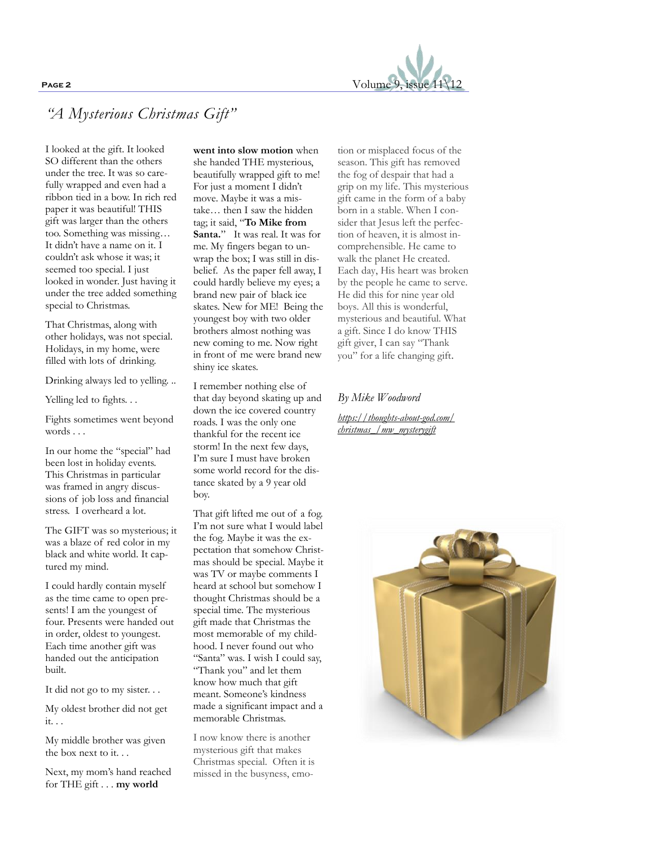

# *"A Mysterious Christmas Gift"*

I looked at the gift. It looked SO different than the others under the tree. It was so carefully wrapped and even had a ribbon tied in a bow. In rich red paper it was beautiful! THIS gift was larger than the others too. Something was missing… It didn't have a name on it. I couldn't ask whose it was; it seemed too special. I just looked in wonder. Just having it under the tree added something special to Christmas.

That Christmas, along with other holidays, was not special. Holidays, in my home, were filled with lots of drinking.

Drinking always led to yelling. ..

Yelling led to fights. . .

Fights sometimes went beyond words . . .

In our home the "special" had been lost in holiday events. This Christmas in particular was framed in angry discussions of job loss and financial stress. I overheard a lot.

The GIFT was so mysterious; it was a blaze of red color in my black and white world. It captured my mind.

I could hardly contain myself as the time came to open presents! I am the youngest of four. Presents were handed out in order, oldest to youngest. Each time another gift was handed out the anticipation built.

It did not go to my sister. . .

My oldest brother did not get it. . .

My middle brother was given the box next to it. . .

Next, my mom's hand reached for THE gift . . . **my world** 

**went into slow motion** when she handed THE mysterious, beautifully wrapped gift to me! For just a moment I didn't move. Maybe it was a mistake… then I saw the hidden tag; it said, "**To Mike from Santa.**" It was real. It was for me. My fingers began to unwrap the box; I was still in disbelief. As the paper fell away, I could hardly believe my eyes; a brand new pair of black ice skates. New for ME! Being the youngest boy with two older brothers almost nothing was new coming to me. Now right in front of me were brand new shiny ice skates.

I remember nothing else of that day beyond skating up and down the ice covered country roads. I was the only one thankful for the recent ice storm! In the next few days, I'm sure I must have broken some world record for the distance skated by a 9 year old boy.

That gift lifted me out of a fog. I'm not sure what I would label the fog. Maybe it was the expectation that somehow Christmas should be special. Maybe it was TV or maybe comments I heard at school but somehow I thought Christmas should be a special time. The mysterious gift made that Christmas the most memorable of my childhood. I never found out who "Santa" was. I wish I could say, "Thank you" and let them know how much that gift meant. Someone's kindness made a significant impact and a memorable Christmas.

I now know there is another mysterious gift that makes Christmas special. Often it is missed in the busyness, emotion or misplaced focus of the season. This gift has removed the fog of despair that had a grip on my life. This mysterious gift came in the form of a baby born in a stable. When I consider that Jesus left the perfection of heaven, it is almost incomprehensible. He came to walk the planet He created. Each day, His heart was broken by the people he came to serve. He did this for nine year old boys. All this is wonderful, mysterious and beautiful. What a gift. Since I do know THIS gift giver, I can say "Thank you" for a life changing gift.

## *By Mike Woodword*

*[https://thoughts-about-god.com/](https://thoughts-about-god.com/christmas_/mw_mysterygift) [christmas\\_/mw\\_mysterygift](https://thoughts-about-god.com/christmas_/mw_mysterygift)*

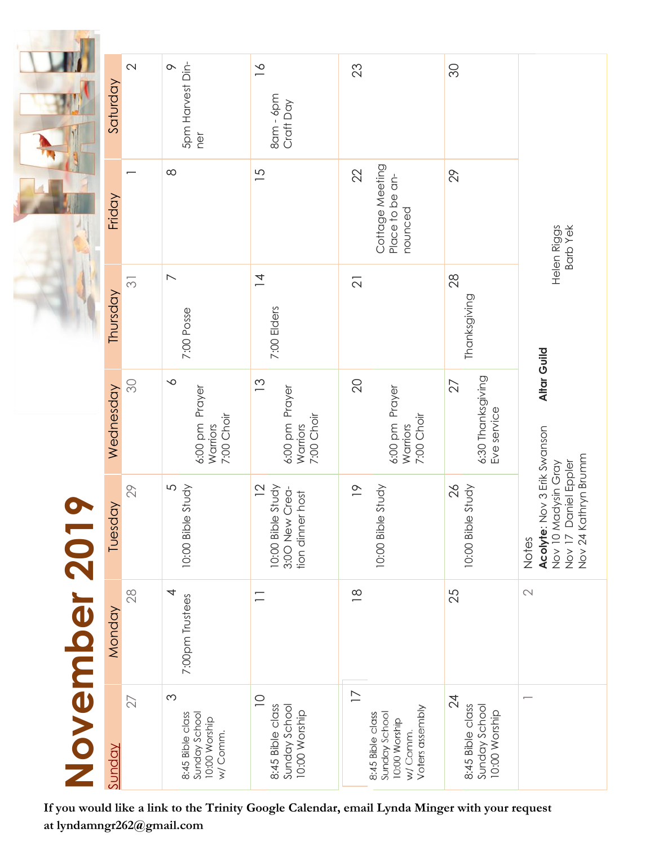|              | Saturday      | $\mathbf{\Omega}$  | 5pm Harvest Din-<br>$\circ$<br>ner                                        | $\leq$<br>$8$ am - $6$ pm<br>Craft Day                                    | 23                                                                                                 | SO                                                                    |                                                                                                             |
|--------------|---------------|--------------------|---------------------------------------------------------------------------|---------------------------------------------------------------------------|----------------------------------------------------------------------------------------------------|-----------------------------------------------------------------------|-------------------------------------------------------------------------------------------------------------|
|              | Friday        |                    | $\infty$                                                                  | $\overline{5}$                                                            | Cottage Meeting<br>22<br>Place to be an-<br>nounced                                                | 29                                                                    | Helen Riggs<br>Barb Yek                                                                                     |
|              | Thursday      | $\overline{\odot}$ | $\overline{\phantom{0}}$<br>7:00 Posse                                    | $\overline{4}$<br>7:00 Elders                                             | $\overline{2}$                                                                                     | 28<br>Thanksgiving                                                    |                                                                                                             |
|              | Wednesday     | SO,                | $\sim$<br>Prayer<br>7:00 Choir<br>6:00 pm<br><b>Warriors</b>              | $\tilde{c}$<br>Prayer<br>7:00 Choir<br>6:00 pm<br>Warriors                | $\mathcal{Q}$<br>6:00 pm Prayer<br>7:00 Choir<br>Warriors                                          | 6:30 Thanksgiving<br>Eve service<br>27                                | Altar Guild                                                                                                 |
|              | Tuesday       | 29                 | 5<br>10:00 Bible Study                                                    | $\overline{2}$<br>10:00 Bible Study<br>3:00 New Crea-<br>tion dinner host | $\overline{\phantom{0}}$<br>10:00 Bible Study                                                      | $\frac{2}{6}$<br>10:00 Bible Study                                    | Acolyte: Nov 3 Erik Swanson<br>Nov 10 Madysin Gray<br>Nov 17 Daniel Eppler<br>Nov 24 Kathryn Brumm<br>Notes |
|              | Monday        | 28                 | 4<br>7:00pm Trustees                                                      |                                                                           | $\frac{\infty}{2}$                                                                                 | 25                                                                    | $\mathbb{C}$                                                                                                |
| November 20' | <u>Sunday</u> | $\overline{27}$    | $\infty$<br>8:45 Bible class<br>Sunday School<br>10:00 Worship<br>w/Comm. | $\supseteq$<br>8:45 Bible class<br>Sunday School<br>10:00 Worship         | $\overline{1}$<br>Voters assembly<br>Sunday School<br>8:45 Bible class<br>10:00 Worship<br>w/Comm. | $\overline{24}$<br>8:45 Bible class<br>Sunday School<br>10:00 Worship | $\overline{ }$                                                                                              |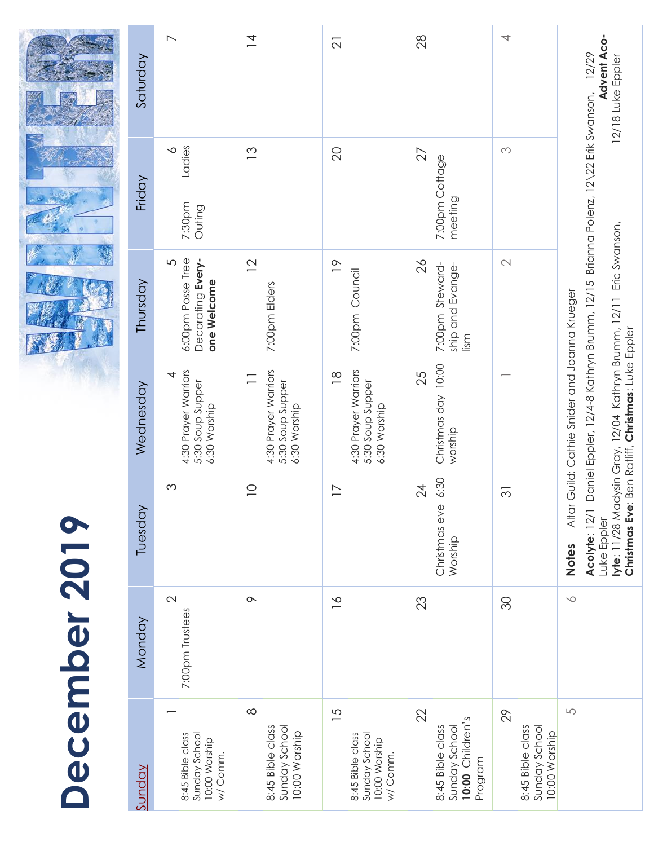|               | Saturday  | $\overline{\phantom{1}}$                                      | $\overline{4}$                                                     | $\overline{\mathcal{L}}$                                                        | 28                                                                        | 4                                                        | <b>Advent Aco-</b><br>12/29<br>12/18 Luke Eppler                                                                                                                          |
|---------------|-----------|---------------------------------------------------------------|--------------------------------------------------------------------|---------------------------------------------------------------------------------|---------------------------------------------------------------------------|----------------------------------------------------------|---------------------------------------------------------------------------------------------------------------------------------------------------------------------------|
|               | Friday    | Ladies<br>$\sim$<br>7:30pm<br>Outing                          | $\tilde{c}$                                                        | $\overline{20}$                                                                 | 27<br>7:00pm Cottage<br>meeting                                           | $\infty$                                                 | Daniel Eppler, 12/4-8 Kathryn Brumm, 12/15 Brianna Polenz, 12/22 Erik Swanson,                                                                                            |
|               | Thursday  | 6:00pm Posse Tree<br>Decorating Every-<br>5<br>one Welcome    | $\overline{2}$<br>7:00pm Elders                                    | $\overline{0}$<br>7:00pm Council                                                | $\frac{2}{6}$<br>7:00pm Steward-<br>ship and Evange-<br>$\lim_{\sim}$     | $\mathbb{C}$                                             |                                                                                                                                                                           |
|               | Wednesday | 4:30 Prayer Warriors<br>4<br>5:30 Soup Supper<br>6:30 Worship | 4:30 Prayer Warriors<br>$\Box$<br>5:30 Soup Supper<br>6:30 Worship | 4:30 Prayer Warriors<br>$\frac{8}{1}$<br>5:30 Soup Supper<br>6:30 Worship       | Christmas day 10:00<br>25<br>worship                                      |                                                          | lyte: 11/28 Madysin Gray, 12/04 Kathryn Brumm, 12/11 Eric Swanson,<br>Altar Guild: Cathie Snider and Joanna Krueger<br>Christmas Eve: Ben Ratliff, Christmas: Luke Eppler |
|               | Tuesday   | $\infty$                                                      | $\supseteq$                                                        | $\overline{1}$                                                                  | 6:30<br>$\overline{24}$<br>Christmas eve<br>Worship                       | $\overline{\mathcal{E}}$                                 | Acolyte: 12/1<br>Luke Eppler<br>Notes                                                                                                                                     |
| December 2019 | Monday    | $\sim$<br>7:00pm Trustees                                     | $\sim$                                                             | $\geq$                                                                          | 23                                                                        | 80                                                       | $\searrow$                                                                                                                                                                |
|               | Sunday    | 8:45 Bible class<br>Sunday School<br>10:00 Worship<br>w/Comm. | $\infty$<br>8:45 Bible class<br>Sunday School<br>10:00 Worship     | $\overline{5}$<br>8:45 Bible class<br>Sunday School<br>10:00 Worship<br>w/Comm. | 22<br>Children's<br>Sunday School<br>8:45 Bible class<br>Program<br>10:00 | 29<br>8:45 Bible class<br>Sunday School<br>10:00 Worship | $\cup$                                                                                                                                                                    |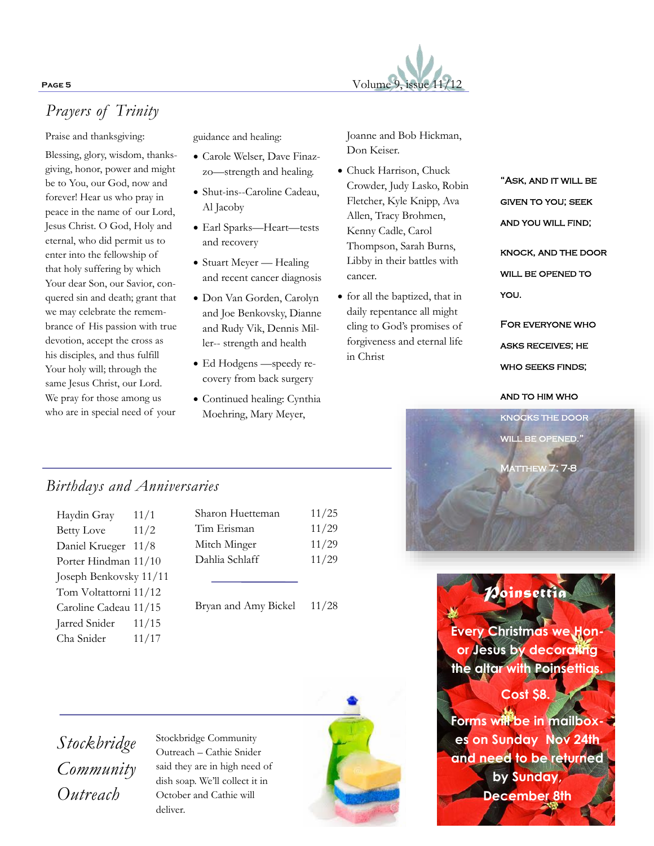

# *Prayers of Trinity*

Praise and thanksgiving:

Blessing, glory, wisdom, thanksgiving, honor, power and might be to You, our God, now and forever! Hear us who pray in peace in the name of our Lord, Jesus Christ. O God, Holy and eternal, who did permit us to enter into the fellowship of that holy suffering by which Your dear Son, our Savior, conquered sin and death; grant that we may celebrate the remembrance of His passion with true devotion, accept the cross as his disciples, and thus fulfill Your holy will; through the same Jesus Christ, our Lord. We pray for those among us who are in special need of your

guidance and healing:

- Carole Welser, Dave Finazzo—strength and healing.
- Shut-ins--Caroline Cadeau, Al Jacoby
- Earl Sparks—Heart—tests and recovery
- Stuart Meyer Healing and recent cancer diagnosis
- Don Van Gorden, Carolyn and Joe Benkovsky, Dianne and Rudy Vik, Dennis Miller-- strength and health
- Ed Hodgens —speedy recovery from back surgery
- Continued healing: Cynthia Moehring, Mary Meyer,

Joanne and Bob Hickman, Don Keiser.

- Chuck Harrison, Chuck Crowder, Judy Lasko, Robin Fletcher, Kyle Knipp, Ava Allen, Tracy Brohmen, Kenny Cadle, Carol Thompson, Sarah Burns, Libby in their battles with cancer.
- for all the baptized, that in daily repentance all might cling to God's promises of forgiveness and eternal life in Christ

"Ask, and it will be given to you; seek AND YOU WILL FIND; knock, and the door WILL BE OPENED TO you.

For everyone who asks receives; he who seeks finds;

and to him who



## *Birthdays and Anniversaries*

| Haydin Gray            | 11/1  |
|------------------------|-------|
| <b>Betty Love</b>      | 11/2  |
| Daniel Krueger 11/8    |       |
| Porter Hindman 11/10   |       |
| Joseph Benkovsky 11/11 |       |
| Tom Voltattorni 11/12  |       |
| Caroline Cadeau 11/15  |       |
| Jarred Snider          | 11/15 |
| Cha Snider             | 11/17 |
|                        |       |

| Sharon Huetteman | 11/25 |
|------------------|-------|
| Tim Erisman      | 11/29 |
| Mitch Minger     | 11/29 |
| Dahlia Schlaff   | 11/29 |
|                  |       |
|                  |       |

Bryan and Amy Bickel 11/28

*Stockbridge Community Outreach*

Stockbridge Community Outreach – Cathie Snider said they are in high need of dish soap. We'll collect it in October and Cathie will deliver.



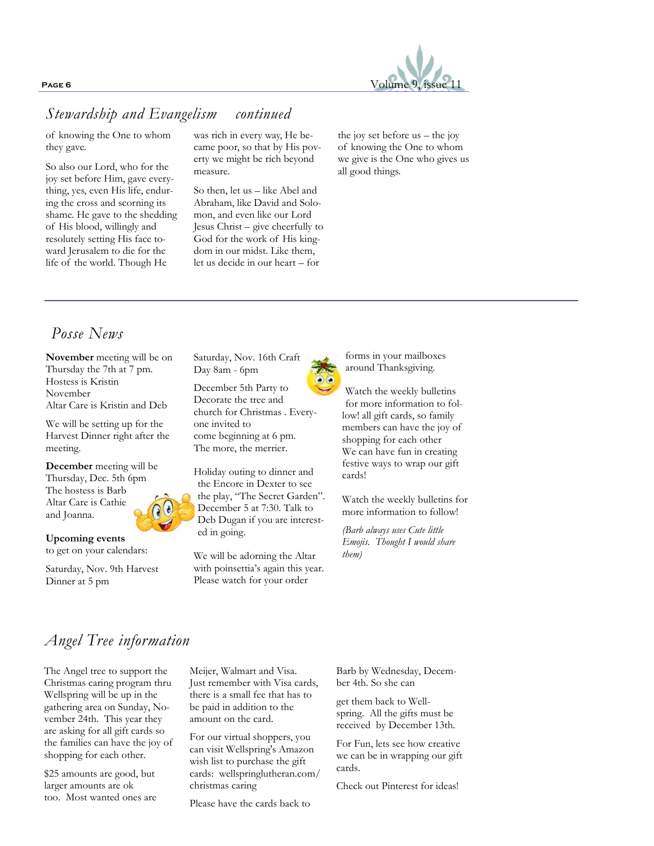

## *Stewardship and Evangelism continued*

of knowing the One to whom they gave.

So also our Lord, who for the joy set before Him, gave everything, yes, even His life, enduring the cross and scorning its shame. He gave to the shedding of His blood, willingly and resolutely setting His face toward Jerusalem to die for the life of the world. Though He

was rich in every way, He became poor, so that by His poverty we might be rich beyond measure.

So then, let us – like Abel and Abraham, like David and Solomon, and even like our Lord Jesus Christ – give cheerfully to God for the work of His kingdom in our midst. Like them, let us decide in our heart – for

the joy set before us – the joy of knowing the One to whom we give is the One who gives us all good things.

## *Posse News*

**November** meeting will be on Thursday the 7th at 7 pm. Hostess is Kristin November Altar Care is Kristin and Deb

We will be setting up for the Harvest Dinner right after the meeting.

**December** meeting will be Thursday, Dec. 5th 6pm The hostess is Barb Altar Care is Cathie and Joanna.

**Upcoming events** 

to get on your calendars:

Saturday, Nov. 9th Harvest Dinner at 5 pm

Saturday, Nov. 16th Craft Day 8am - 6pm

December 5th Party to Decorate the tree and church for Christmas . Everyone invited to come beginning at 6 pm. The more, the merrier.

Holiday outing to dinner and the Encore in Dexter to see the play, "The Secret Garden". December 5 at 7:30. Talk to Deb Dugan if you are interested in going.

We will be adorning the Altar with poinsettia's again this year. Please watch for your order

forms in your mailboxes around Thanksgiving.

Watch the weekly bulletins for more information to follow! all gift cards, so family members can have the joy of shopping for each other We can have fun in creating festive ways to wrap our gift cards!

Watch the weekly bulletins for more information to follow!

*(Barb always uses Cute little Emojis. Thought I would share them)*

## *Angel Tree information*

The Angel tree to support the Christmas caring program thru Wellspring will be up in the gathering area on Sunday, November 24th. This year they are asking for all gift cards so the families can have the joy of shopping for each other.

\$25 amounts are good, but larger amounts are ok too. Most wanted ones are Meijer, Walmart and Visa. Just remember with Visa cards, there is a small fee that has to be paid in addition to the amount on the card.

For our virtual shoppers, you can visit Wellspring's Amazon wish list to purchase the gift cards: wellspringlutheran.com/ christmas caring

Please have the cards back to

Barb by Wednesday, December 4th. So she can

get them back to Wellspring. All the gifts must be received by December 13th.

For Fun, lets see how creative we can be in wrapping our gift cards.

Check out Pinterest for ideas!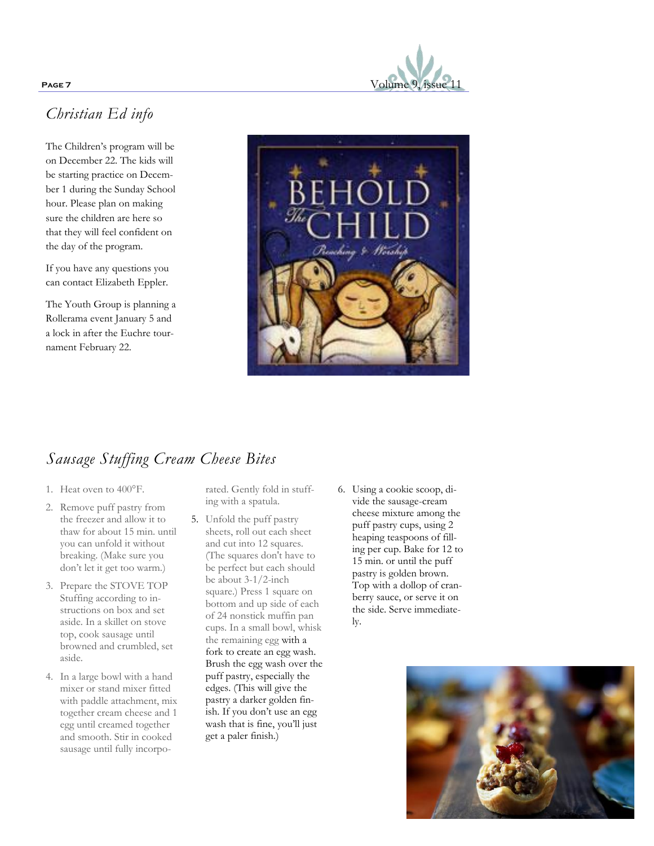

# *Christian Ed info*

The Children's program will be on December 22. The kids will be starting practice on December 1 during the Sunday School hour. Please plan on making sure the children are here so that they will feel confident on the day of the program.

If you have any questions you can contact Elizabeth Eppler.

The Youth Group is planning a Rollerama event January 5 and a lock in after the Euchre tournament February 22.



# *Sausage Stuffing Cream Cheese Bites*

- 1. Heat oven to 400°F.
- 2. Remove puff pastry from the freezer and allow it to thaw for about 15 min. until you can unfold it without breaking. (Make sure you don't let it get too warm.)
- 3. Prepare the STOVE TOP Stuffing according to instructions on box and set aside. In a skillet on stove top, cook sausage until browned and crumbled, set aside.
- 4. In a large bowl with a hand mixer or stand mixer fitted with paddle attachment, mix together cream cheese and 1 egg until creamed together and smooth. Stir in cooked sausage until fully incorpo-

rated. Gently fold in stuffing with a spatula.

- 5. Unfold the puff pastry sheets, roll out each sheet and cut into 12 squares. (The squares don't have to be perfect but each should be about 3-1/2-inch square.) Press 1 square on bottom and up side of each of 24 nonstick muffin pan cups. In a small bowl, whisk the remaining egg with a fork to create an egg wash. Brush the egg wash over the puff pastry, especially the edges. (This will give the pastry a darker golden finish. If you don't use an egg wash that is fine, you'll just get a paler finish.)
- 6. Using a cookie scoop, divide the sausage-cream cheese mixture among the puff pastry cups, using 2 heaping teaspoons of filling per cup. Bake for 12 to 15 min. or until the puff pastry is golden brown. Top with a dollop of cranberry sauce, or serve it on the side. Serve immediately.